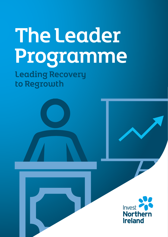# The Leader Programme Leading Recovery

to Regrowth

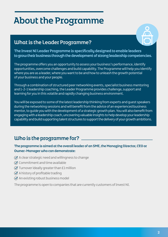# About the Programme

# What is the Leader Programme?



The Invest NI Leader Programme is specifically designed to enable leaders to grow their business through the development of strong leadership competencies.

The programme offers you an opportunity to assess your business's performance, identify opportunities, overcome challenges and build capability. The Programme will help you identify where you are as a leader, where you want to be and how to unleash the growth potential of your business and your people.

Through a combination of structured peer networking events, specialist business mentoring and 1-2-1 leadership coaching, the Leader Programme provides challenge, support and learning for you in this volatile and rapidly changing business environment.

You will be exposed to some of the latest leadership thinking from experts and guest speakers during the networking sessions and will benefit from the advice of an experienced business mentor, to guide you with the development of a strategic growth plan. You will also benefit from engaging with a leadership coach, uncovering valuable insights to help develop your leadership capability and build supporting talent structures to support the delivery of your growth ambitions.

# Uho is the programme for?

#### The programme is aimed at the overall leader of an SME, the Managing Director, CEO or Owner-Manager who can demonstrate:

- $\oslash$  A clear strategic need and willingness to change
- $\oslash$  Commitment and time available
- $\oslash$  Turnover ideally greater than £1 million
- $\oslash$  A history of profitable trading
- $\oslash$  An existing robust business model

The programme is open to companies that are currently customers of Invest NI.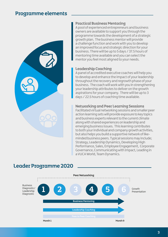## Programme elements



#### Practical Business Mentoring

A pool of experienced entrepreneurs and business owners are available to support you through the programme towards the development of a strategic growth plan. The business mentor will provide a challenge function and work with you to develop an improved focus and strategic direction for your business. There will be up to 5 days / 37.5 hours of mentoring time available and you can select the mentor you feel most aligned to your needs.

#### Leadership Coaching

A panel of accredited executive coaches will help you to develop and enhance the impact of your leadership throughout the recovery and regrowth phase of your business. The coach will work with you in strengthening your leadership attributes to deliver on the growth aspirations for your company. There will be up to 3 days / 22.5 hours of coaching time available.

#### Networking and Peer Learning Sessions

Facilitated virtual networking sessions and smaller peer action learning sets will provide exposure to key topics and business experts relevant to the current climate along with shared experiences on leadership and emerging business issues. This learning contributes to both your individual and company growth activities, but also helps you build a supportive network of likeminded business peers. Typical sessions may include; Strategy, Leadership Dynamics, Developing High Performance, Sales, Employee Engagement, Corporate Governance, Communicating with Impact, Leading in a VUCA World, Team Dynamics.



### Leader Programme 2020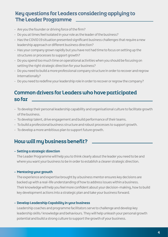# Key questions for Leaders considering applying to The Leader Programme

- Are you the founder or driving force of the firm?
- Do you at times feel isolated in your role as the leader of the business?
- Has the COVID 19 situation presented significant business challenges that require a new leadership approach or different business direction?
- Has your company grown rapidly but you have not had time to focus on setting up the structures or processes to support growth?
- Do you spend too much time on operational activities when you should be focusing on setting the right strategic direction for your business?
- Do you need to build a more professional company structure in order to recover and regrow internationally?
- Do you need to redefine your leadership role in order to recover or regrow the company?

# Common drivers for Leaders who have participated so far

- To develop their personal leadership capability and organisational culture to facilitate growth of the business.
- To develop talent, drive engagement and build performance of their teams.
- To build a professional business structure and robust processes to support growth.
- To develop a more ambitious plan to support future growth.

# How will my business benefit?

#### - Setting a strategic direction

 The Leader Programme will help you to think clearly about the leader you need to be and where you want your business to be in order to establish a clearer strategic direction.

#### - Mentoring your growth

 The experience and expertise brought by a business mentor ensures key decisions are backed up with a real-life understanding of how to address issues within a business. Their knowledge will help you feel more confident about your decision-making, how to build key development actions into a strategic plan and take your business forward.

#### - Develop Leadership Capability in your business

 Leadership coaches and programme facilitators serve to challenge and develop key leadership skills/ knowledge and behaviours. They will help unleash your personal growth potential and build a strong culture to support the growth of your business.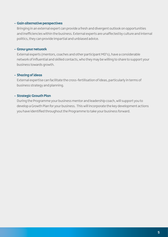#### - Gain alternative perspectives

 Bringing in an external expert can provide a fresh and divergent outlook on opportunities and inefficiencies within the business. External experts are unaffected by culture and internal politics, they can provide impartial and unbiased advice.

#### - Grow your network

 External experts (mentors, coaches and other participant MD's), have a considerable network of influential and skilled contacts, who they may be willing to share to support your business towards growth.

#### - Sharing of ideas

 External expertise can facilitate the cross-fertilisation of ideas, particularly in terms of business strategy and planning.

#### - Strategic Growth Plan

 During the Programme your business mentor and leadership coach, will support you to develop a Growth Plan for your business. This will incorporate the key development actions you have identified throughout the Programme to take your business forward.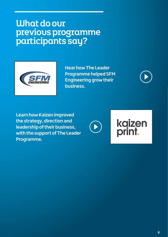# What do our previous programme participants say?



**Hear how The Leader Programme helped SFM Engineering grow their business.**



**Learn how Kaizen improved the strategy, direction and leadership of their business, with the support of The Leader Programme.**